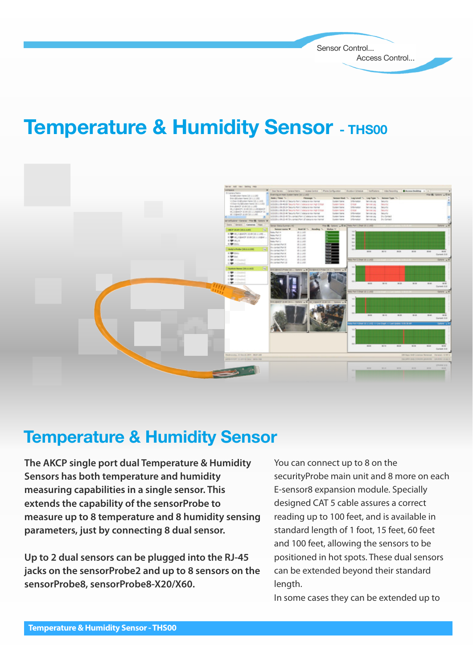Sensor Control... Access Control...

# **Temperature & Humidity Sensor - THS00**



#### **Temperature & Humidity Sensor**

**The AKCP single port dual Temperature & Humidity Sensors has both temperature and humidity measuring capabilities in a single sensor. This extends the capability of the sensorProbe to measure up to 8 temperature and 8 humidity sensing parameters, just by connecting 8 dual sensor.**

**Up to 2 dual sensors can be plugged into the RJ-45 jacks on the sensorProbe2 and up to 8 sensors on the sensorProbe8, sensorProbe8-X20/X60.** 

You can connect up to 8 on the securityProbe main unit and 8 more on each E-sensor8 expansion module. Specially designed CAT 5 cable assures a correct reading up to 100 feet, and is available in standard length of 1 foot, 15 feet, 60 feet and 100 feet, allowing the sensors to be positioned in hot spots. These dual sensors can be extended beyond their standard length.

In some cases they can be extended up to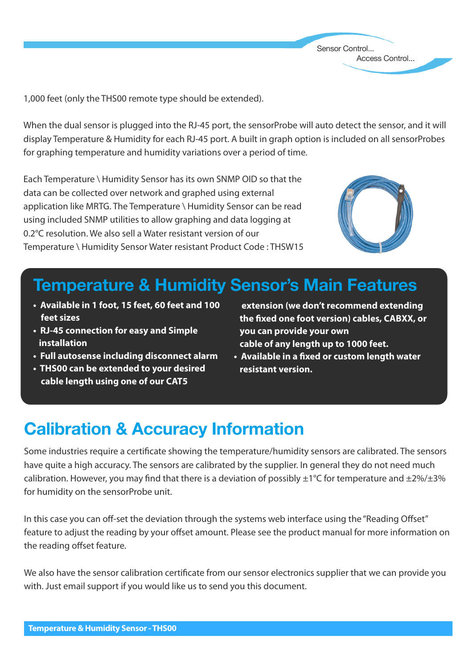1,000 feet (only the THS00 remote type should be extended).

When the dual sensor is plugged into the RJ-45 port, the sensorProbe will auto detect the sensor, and it will display Temperature & Humidity for each RJ-45 port. A built in graph option is included on all sensorProbes for graphing temperature and humidity variations over a period of time.

Each Temperature \ Humidity Sensor has its own SNMP OID so that the data can be collected over network and graphed using external application like MRTG. The Temperature \ Humidity Sensor can be read using included SNMP utilities to allow graphing and data logging at 0.2°C resolution. We also sell a Water resistant version of our Temperature \ Humidity Sensor Water resistant Product Code : THSW15



Sensor Control...

Access Control...

## **Temperature & Humidity Sensor's Main Features**

- **Available in 1 foot, 15 feet, 60 feet and 100 feet sizes**
- **RJ-45 connection for easy and Simple installation**
- **Full autosense including disconnect alarm**
- **THS00 can be extended to your desired cable length using one of our CAT5**

 **extension (we don't recommend extending the fixed one foot version) cables, CABXX, or you can provide your own cable of any length up to 1000 feet.** 

**• Available in a fixed or custom length water resistant version.**

## **Calibration & Accuracy Information**

Some industries require a certificate showing the temperature/humidity sensors are calibrated. The sensors have quite a high accuracy. The sensors are calibrated by the supplier. In general they do not need much calibration. However, you may find that there is a deviation of possibly  $\pm 1^{\circ}$ C for temperature and  $\pm 2\%$ / $\pm 3\%$ for humidity on the sensorProbe unit.

In this case you can off-set the deviation through the systems web interface using the "Reading Offset" feature to adjust the reading by your offset amount. Please see the product manual for more information on the reading offset feature.

We also have the sensor calibration certificate from our sensor electronics supplier that we can provide you with. Just email support if you would like us to send you this document.